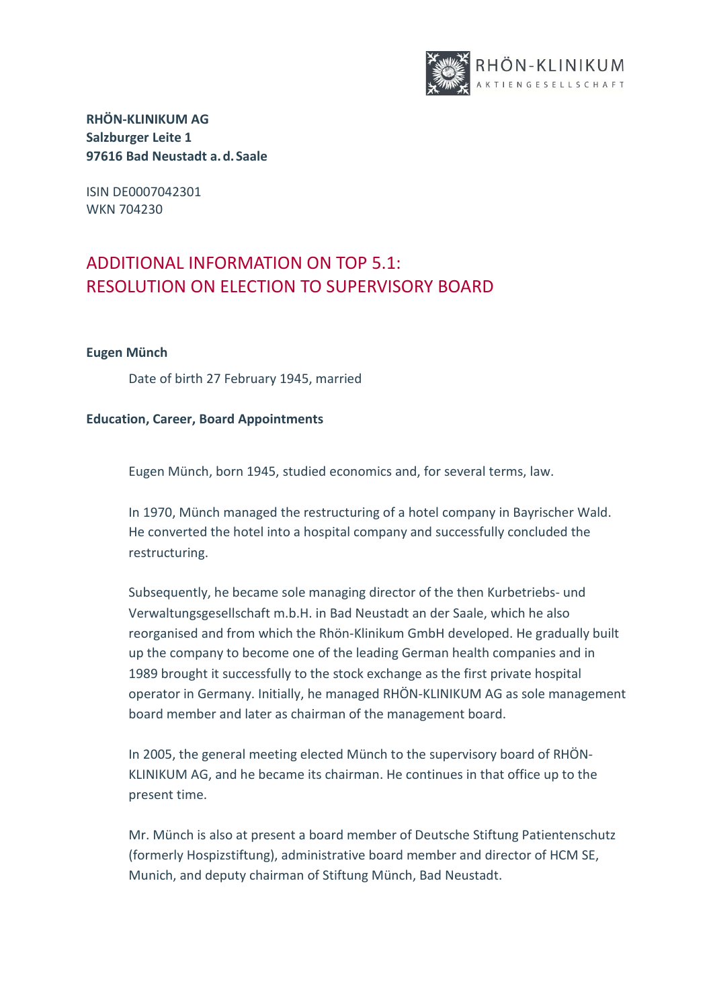

ISIN DE0007042301 WKN 704230

# ADDITIONAL INFORMATION ON TOP 5.1: RESOLUTION ON ELECTION TO SUPERVISORY BOARD

### **Eugen Münch**

Date of birth 27 February 1945, married

### **Education, Career, Board Appointments**

Eugen Münch, born 1945, studied economics and, for several terms, law.

In 1970, Münch managed the restructuring of a hotel company in Bayrischer Wald. He converted the hotel into a hospital company and successfully concluded the restructuring.

Subsequently, he became sole managing director of the then Kurbetriebs- und Verwaltungsgesellschaft m.b.H. in Bad Neustadt an der Saale, which he also reorganised and from which the Rhön-Klinikum GmbH developed. He gradually built up the company to become one of the leading German health companies and in 1989 brought it successfully to the stock exchange as the first private hospital operator in Germany. Initially, he managed RHÖN-KLINIKUM AG as sole management board member and later as chairman of the management board.

In 2005, the general meeting elected Münch to the supervisory board of RHÖN-KLINIKUM AG, and he became its chairman. He continues in that office up to the present time.

Mr. Münch is also at present a board member of Deutsche Stiftung Patientenschutz (formerly Hospizstiftung), administrative board member and director of HCM SE, Munich, and deputy chairman of Stiftung Münch, Bad Neustadt.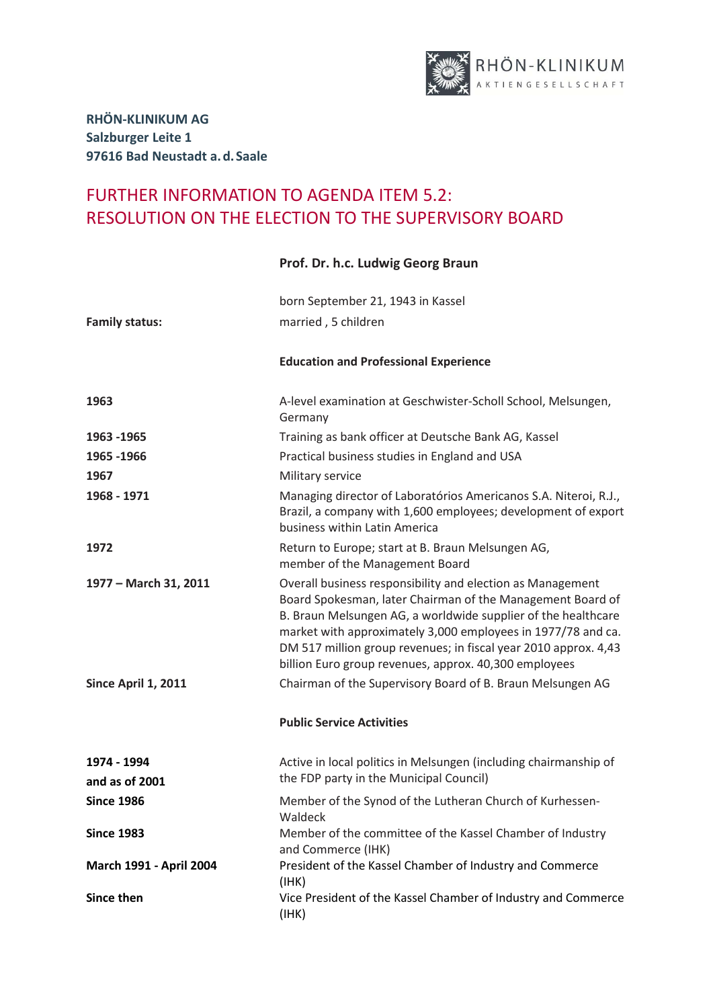

## FURTHER INFORMATION TO AGENDA ITEM 5.2: RESOLUTION ON THE ELECTION TO THE SUPERVISORY BOARD

### born September 21, 1943 in Kassel **Family status:** married , 5 children **Education and Professional Experience 1963** A-level examination at Geschwister-Scholl School, Melsungen, Germany **1963 -1965** Training as bank officer at Deutsche Bank AG, Kassel **1965 -1966** Practical business studies in England and USA **1967** Military service **1968 - 1971** Managing director of Laboratórios Americanos S.A. Niteroi, R.J., Brazil, a company with 1,600 employees; development of export business within Latin America **1972 Return to Europe; start at B. Braun Melsungen AG,** member of the Management Board **1977 – March 31, 2011** Overall business responsibility and election as Management Board Spokesman, later Chairman of the Management Board of B. Braun Melsungen AG, a worldwide supplier of the healthcare market with approximately 3,000 employees in 1977/78 and ca. DM 517 million group revenues; in fiscal year 2010 approx. 4,43 billion Euro group revenues, approx. 40,300 employees **Since April 1, 2011** Chairman of the Supervisory Board of B. Braun Melsungen AG **Public Service Activities 1974 - 1994 and as of 2001** Active in local politics in Melsungen (including chairmanship of the FDP party in the Municipal Council) **Since 1986 Member of the Synod of the Lutheran Church of Kurhessen-**Waldeck **Since 1983** Member of the committee of the Kassel Chamber of Industry and Commerce (IHK) **March 1991 - April 2004** President of the Kassel Chamber of Industry and Commerce (IHK) **Since then** Vice President of the Kassel Chamber of Industry and Commerce

(IHK)

### **Prof. Dr. h.c. Ludwig Georg Braun**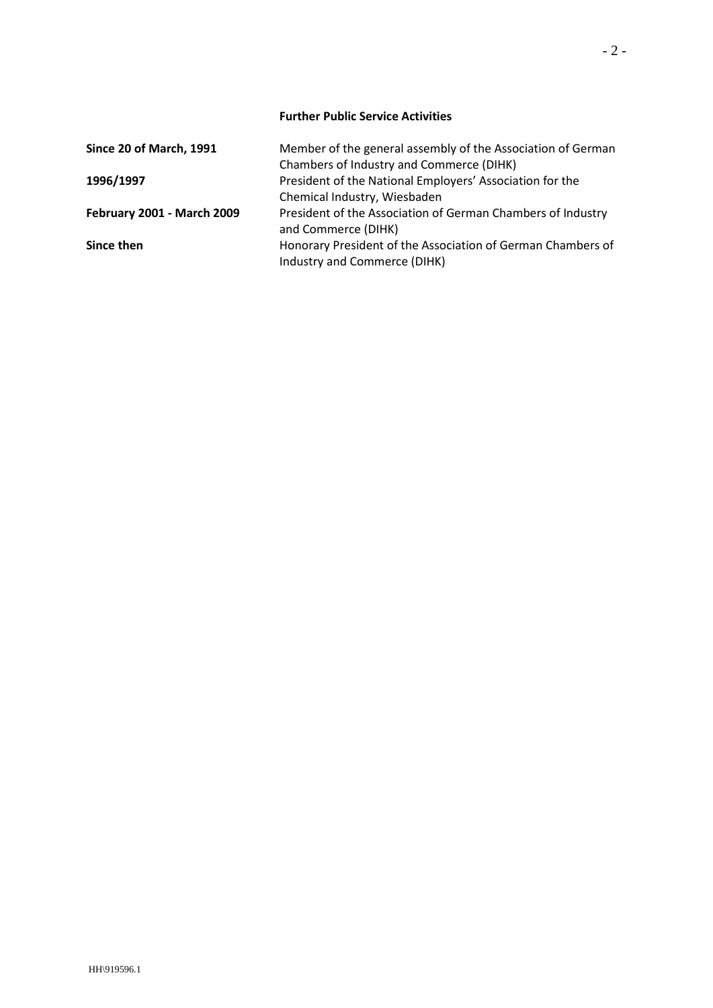### **Further Public Service Activities**

| Since 20 of March, 1991           | Member of the general assembly of the Association of German |
|-----------------------------------|-------------------------------------------------------------|
|                                   | Chambers of Industry and Commerce (DIHK)                    |
| 1996/1997                         | President of the National Employers' Association for the    |
|                                   | Chemical Industry, Wiesbaden                                |
| <b>February 2001 - March 2009</b> | President of the Association of German Chambers of Industry |
|                                   | and Commerce (DIHK)                                         |
| Since then                        | Honorary President of the Association of German Chambers of |
|                                   | Industry and Commerce (DIHK)                                |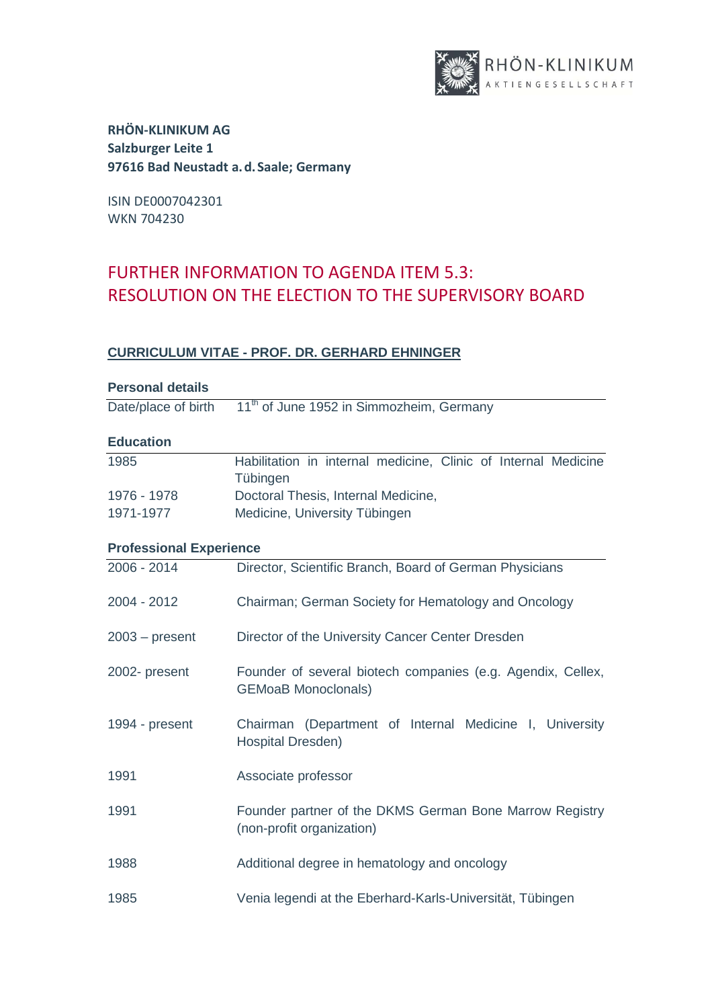

ISIN DE0007042301 WKN 704230

# FURTHER INFORMATION TO AGENDA ITEM 5.3: RESOLUTION ON THE ELECTION TO THE SUPERVISORY BOARD

### **CURRICULUM VITAE - PROF. DR. GERHARD EHNINGER**

| <b>Personal details</b>        |                                                                            |
|--------------------------------|----------------------------------------------------------------------------|
| Date/place of birth            | 11 <sup>th</sup> of June 1952 in Simmozheim, Germany                       |
| <b>Education</b>               |                                                                            |
|                                |                                                                            |
| 1985                           | Habilitation in internal medicine, Clinic of Internal Medicine<br>Tübingen |
| 1976 - 1978                    | Doctoral Thesis, Internal Medicine,                                        |
| 1971-1977                      | Medicine, University Tübingen                                              |
| <b>Professional Experience</b> |                                                                            |
| 2006 - 2014                    | Director, Scientific Branch, Board of German Physicians                    |
|                                |                                                                            |
| 2004 - 2012                    | Chairman; German Society for Hematology and Oncology                       |
|                                |                                                                            |
| $2003 - present$               | Director of the University Cancer Center Dresden                           |
|                                |                                                                            |
| 2002- present                  | Founder of several biotech companies (e.g. Agendix, Cellex,                |
|                                | <b>GEMoaB Monoclonals)</b>                                                 |
|                                |                                                                            |
| 1994 - present                 | Chairman (Department of Internal Medicine I, University                    |
|                                | Hospital Dresden)                                                          |
| 1991                           | Associate professor                                                        |
|                                |                                                                            |
| 1991                           | Founder partner of the DKMS German Bone Marrow Registry                    |
|                                | (non-profit organization)                                                  |
|                                |                                                                            |
| 1988                           | Additional degree in hematology and oncology                               |
| 1985                           | Venia legendi at the Eberhard-Karls-Universität, Tübingen                  |
|                                |                                                                            |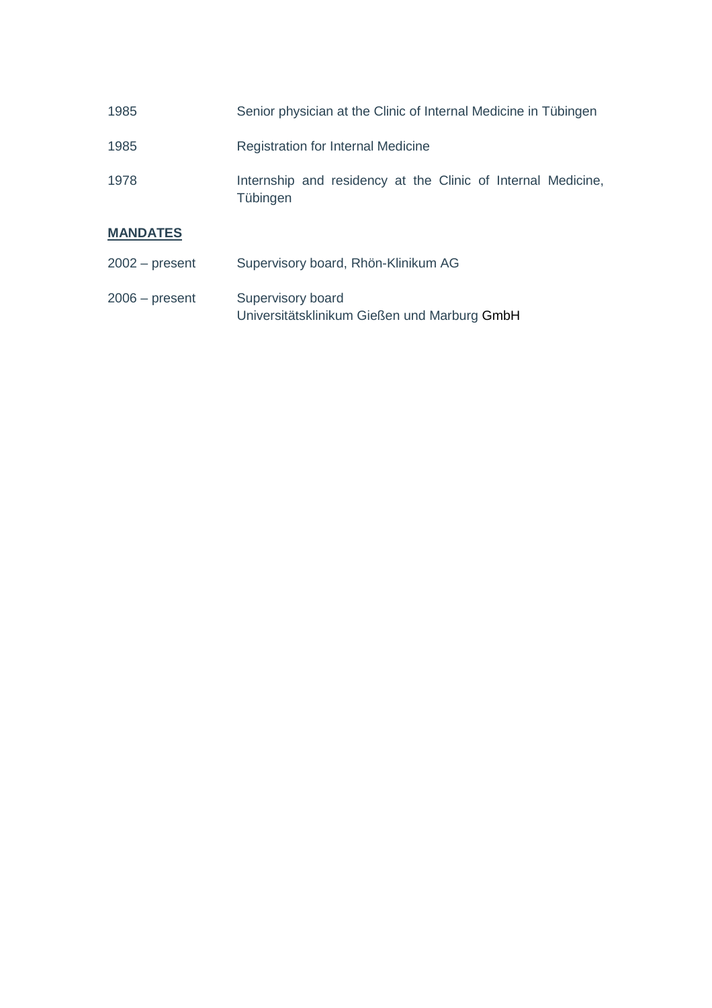| 1985 | Senior physician at the Clinic of Internal Medicine in Tübingen          |
|------|--------------------------------------------------------------------------|
| 1985 | Registration for Internal Medicine                                       |
| 1978 | Internship and residency at the Clinic of Internal Medicine,<br>Tübingen |

## **MANDATES**

| $2002 - present$ | Supervisory board, Rhön-Klinikum AG                               |
|------------------|-------------------------------------------------------------------|
| $2006 - present$ | Supervisory board<br>Universitätsklinikum Gießen und Marburg GmbH |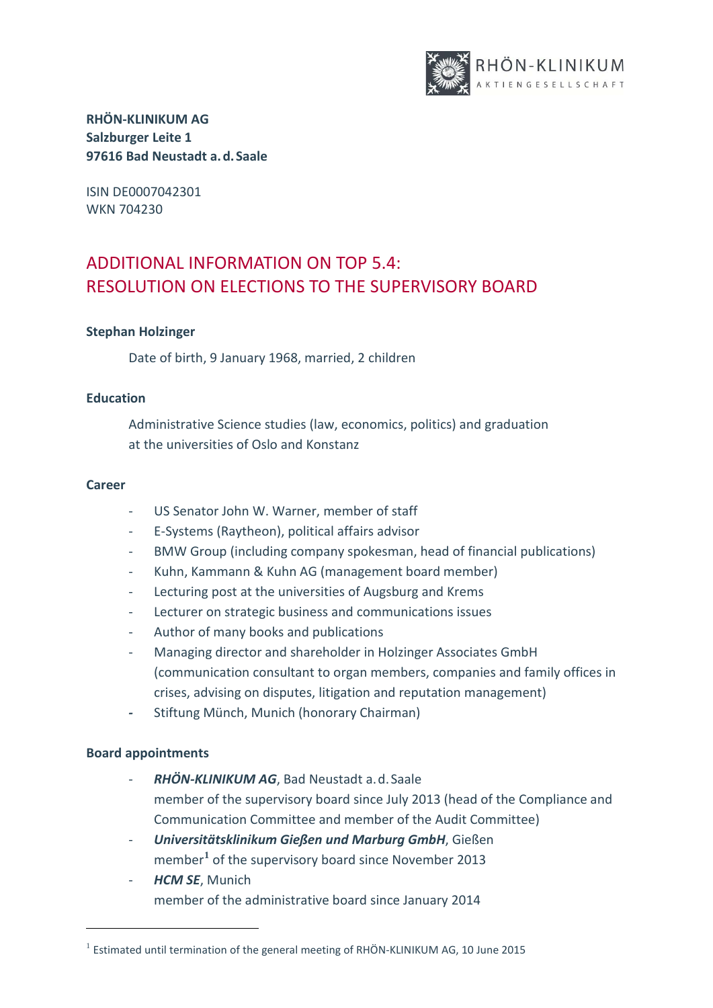

ISIN DE0007042301 WKN 704230

# ADDITIONAL INFORMATION ON TOP 5.4: RESOLUTION ON ELECTIONS TO THE SUPERVISORY BOARD

### **Stephan Holzinger**

Date of birth, 9 January 1968, married, 2 children

### **Education**

Administrative Science studies (law, economics, politics) and graduation at the universities of Oslo and Konstanz

### **Career**

- US Senator John W. Warner, member of staff
- E-Systems (Raytheon), political affairs advisor
- BMW Group (including company spokesman, head of financial publications)
- Kuhn, Kammann & Kuhn AG (management board member)
- Lecturing post at the universities of Augsburg and Krems
- Lecturer on strategic business and communications issues
- Author of many books and publications
- Managing director and shareholder in Holzinger Associates GmbH (communication consultant to organ members, companies and family offices in crises, advising on disputes, litigation and reputation management)
- Stiftung Münch, Munich (honorary Chairman)

### **Board appointments**

-

- RHÖN-KLINIKUM AG, Bad Neustadt a.d.Saale member of the supervisory board since July 2013 (head of the Compliance and Communication Committee and member of the Audit Committee)
- *Universitätsklinikum Gießen und Marburg GmbH*, Gießen member**[1](#page-5-0)** of the supervisory board since November 2013
- *HCM SE*, Munich member of the administrative board since January 2014

<span id="page-5-0"></span> $1$  Estimated until termination of the general meeting of RHÖN-KLINIKUM AG, 10 June 2015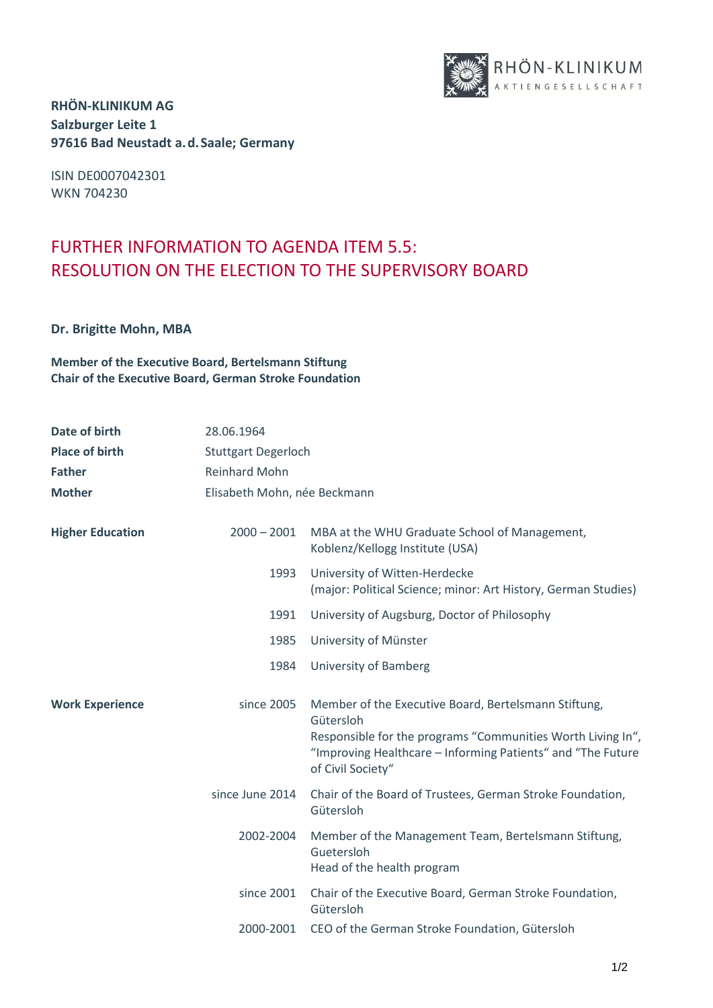

ISIN DE0007042301 WKN 704230

## FURTHER INFORMATION TO AGENDA ITEM 5.5: RESOLUTION ON THE ELECTION TO THE SUPERVISORY BOARD

**Dr. Brigitte Mohn, MBA**

**Member of the Executive Board, Bertelsmann Stiftung Chair of the Executive Board, German Stroke Foundation**

| Date of birth<br><b>Place of birth</b><br><b>Father</b><br><b>Mother</b> | 28.06.1964<br><b>Stuttgart Degerloch</b><br><b>Reinhard Mohn</b><br>Elisabeth Mohn, née Beckmann |                                                                                                                                                                                                                      |
|--------------------------------------------------------------------------|--------------------------------------------------------------------------------------------------|----------------------------------------------------------------------------------------------------------------------------------------------------------------------------------------------------------------------|
| <b>Higher Education</b>                                                  | $2000 - 2001$                                                                                    | MBA at the WHU Graduate School of Management,<br>Koblenz/Kellogg Institute (USA)                                                                                                                                     |
|                                                                          | 1993                                                                                             | University of Witten-Herdecke<br>(major: Political Science; minor: Art History, German Studies)                                                                                                                      |
|                                                                          | 1991                                                                                             | University of Augsburg, Doctor of Philosophy                                                                                                                                                                         |
|                                                                          | 1985                                                                                             | University of Münster                                                                                                                                                                                                |
|                                                                          | 1984                                                                                             | University of Bamberg                                                                                                                                                                                                |
| <b>Work Experience</b>                                                   | since 2005                                                                                       | Member of the Executive Board, Bertelsmann Stiftung,<br>Gütersloh<br>Responsible for the programs "Communities Worth Living In",<br>"Improving Healthcare - Informing Patients" and "The Future<br>of Civil Society" |
|                                                                          | since June 2014                                                                                  | Chair of the Board of Trustees, German Stroke Foundation,<br>Gütersloh                                                                                                                                               |
|                                                                          | 2002-2004                                                                                        | Member of the Management Team, Bertelsmann Stiftung,<br>Guetersloh<br>Head of the health program                                                                                                                     |
|                                                                          | since 2001                                                                                       | Chair of the Executive Board, German Stroke Foundation,<br>Gütersloh                                                                                                                                                 |
|                                                                          | 2000-2001                                                                                        | CEO of the German Stroke Foundation, Gütersloh                                                                                                                                                                       |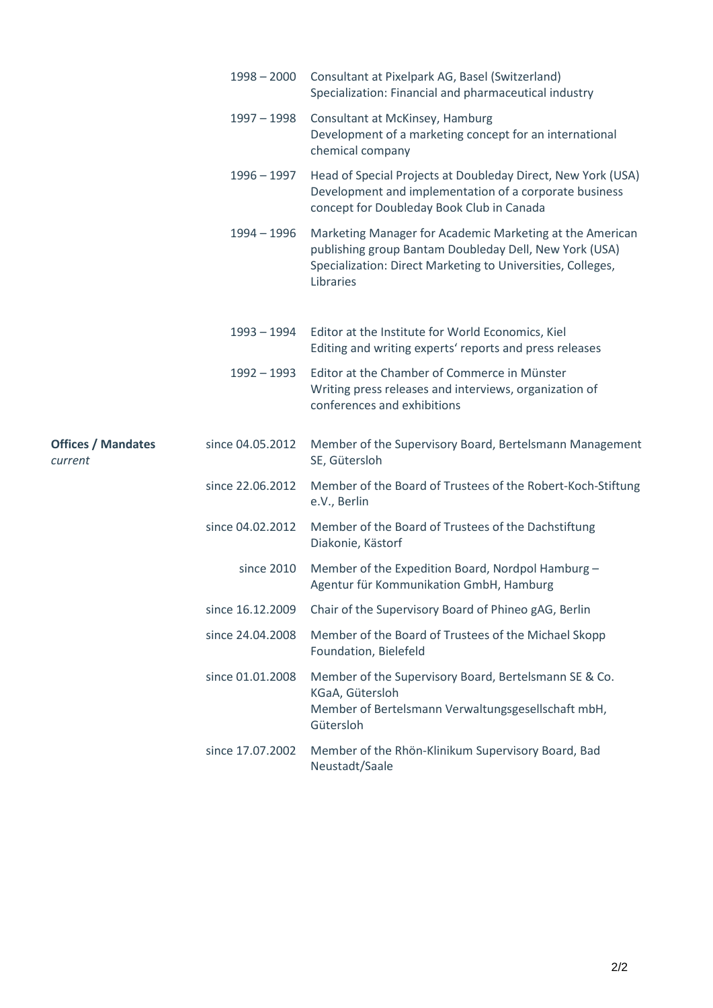|                                      | $1998 - 2000$    | Consultant at Pixelpark AG, Basel (Switzerland)<br>Specialization: Financial and pharmaceutical industry                                                                                       |
|--------------------------------------|------------------|------------------------------------------------------------------------------------------------------------------------------------------------------------------------------------------------|
|                                      | $1997 - 1998$    | Consultant at McKinsey, Hamburg<br>Development of a marketing concept for an international<br>chemical company                                                                                 |
|                                      | $1996 - 1997$    | Head of Special Projects at Doubleday Direct, New York (USA)<br>Development and implementation of a corporate business<br>concept for Doubleday Book Club in Canada                            |
|                                      | $1994 - 1996$    | Marketing Manager for Academic Marketing at the American<br>publishing group Bantam Doubleday Dell, New York (USA)<br>Specialization: Direct Marketing to Universities, Colleges,<br>Libraries |
|                                      | 1993 – 1994      | Editor at the Institute for World Economics, Kiel<br>Editing and writing experts' reports and press releases                                                                                   |
|                                      | $1992 - 1993$    | Editor at the Chamber of Commerce in Münster<br>Writing press releases and interviews, organization of<br>conferences and exhibitions                                                          |
| <b>Offices / Mandates</b><br>current | since 04.05.2012 | Member of the Supervisory Board, Bertelsmann Management<br>SE, Gütersloh                                                                                                                       |
|                                      | since 22.06.2012 | Member of the Board of Trustees of the Robert-Koch-Stiftung<br>e.V., Berlin                                                                                                                    |
|                                      | since 04.02.2012 | Member of the Board of Trustees of the Dachstiftung<br>Diakonie, Kästorf                                                                                                                       |
|                                      | since 2010       | Member of the Expedition Board, Nordpol Hamburg -<br>Agentur für Kommunikation GmbH, Hamburg                                                                                                   |
|                                      |                  | since 16.12.2009 Chair of the Supervisory Board of Phineo gAG, Berlin                                                                                                                          |
|                                      | since 24.04.2008 | Member of the Board of Trustees of the Michael Skopp<br>Foundation, Bielefeld                                                                                                                  |
|                                      | since 01.01.2008 | Member of the Supervisory Board, Bertelsmann SE & Co.<br>KGaA, Gütersloh<br>Member of Bertelsmann Verwaltungsgesellschaft mbH,<br>Gütersloh                                                    |
|                                      | since 17.07.2002 | Member of the Rhön-Klinikum Supervisory Board, Bad<br>Neustadt/Saale                                                                                                                           |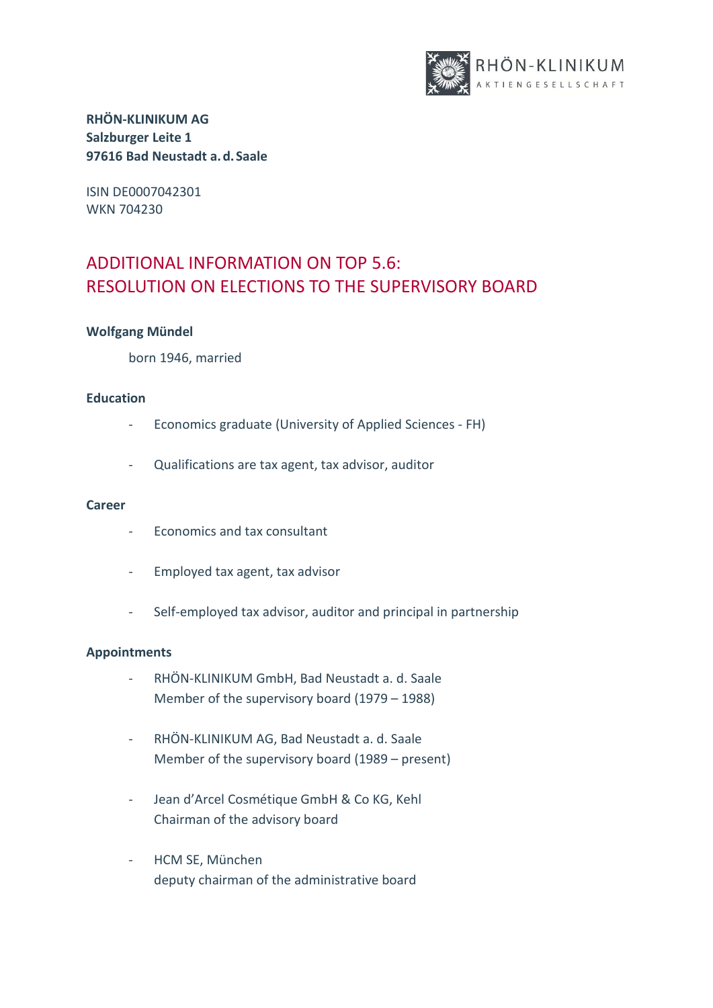

ISIN DE0007042301 WKN 704230

# ADDITIONAL INFORMATION ON TOP 5.6: RESOLUTION ON ELECTIONS TO THE SUPERVISORY BOARD

### **Wolfgang Mündel**

born 1946, married

### **Education**

- Economics graduate (University of Applied Sciences FH)
- Qualifications are tax agent, tax advisor, auditor

### **Career**

- Economics and tax consultant
- Employed tax agent, tax advisor
- Self-employed tax advisor, auditor and principal in partnership

### **Appointments**

- RHÖN-KLINIKUM GmbH, Bad Neustadt a. d. Saale Member of the supervisory board (1979 – 1988)
- RHÖN-KLINIKUM AG, Bad Neustadt a. d. Saale Member of the supervisory board (1989 – present)
- Jean d'Arcel Cosmétique GmbH & Co KG, Kehl Chairman of the advisory board
- HCM SE, München deputy chairman of the administrative board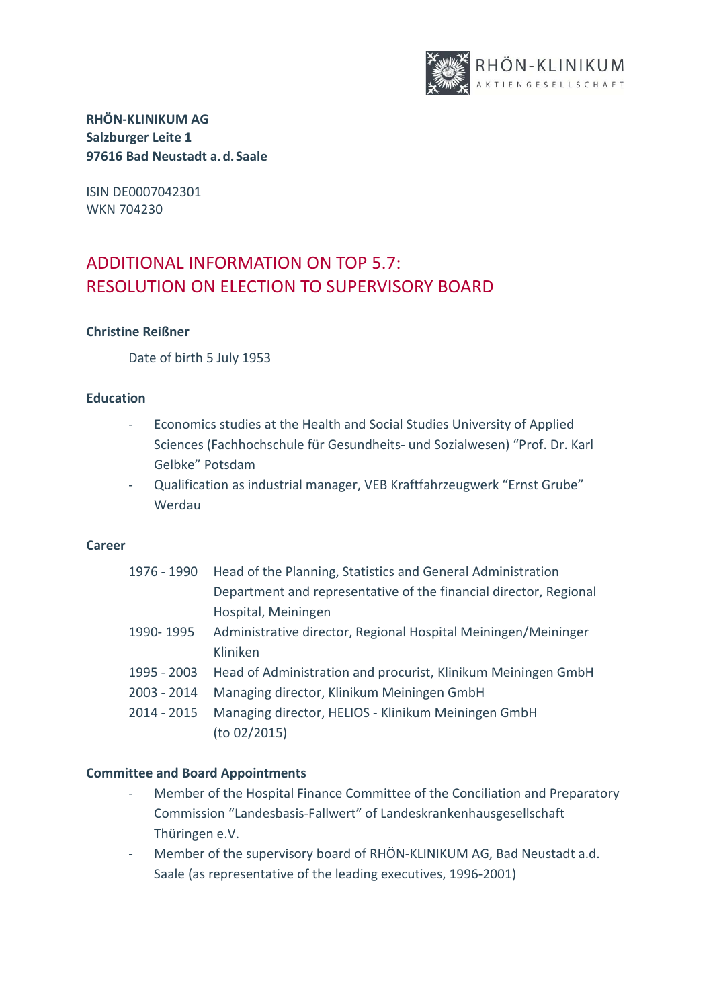

ISIN DE0007042301 WKN 704230

# ADDITIONAL INFORMATION ON TOP 5.7: RESOLUTION ON ELECTION TO SUPERVISORY BOARD

### **Christine Reißner**

Date of birth 5 July 1953

### **Education**

- Economics studies at the Health and Social Studies University of Applied Sciences (Fachhochschule für Gesundheits- und Sozialwesen) "Prof. Dr. Karl Gelbke" Potsdam
- Qualification as industrial manager, VEB Kraftfahrzeugwerk "Ernst Grube" Werdau

### **Career**

| 1976 - 1990   | Head of the Planning, Statistics and General Administration       |
|---------------|-------------------------------------------------------------------|
|               | Department and representative of the financial director, Regional |
|               | Hospital, Meiningen                                               |
| 1990-1995     | Administrative director, Regional Hospital Meiningen/Meininger    |
|               | Kliniken                                                          |
| 1995 - 2003   | Head of Administration and procurist, Klinikum Meiningen GmbH     |
| $2003 - 2014$ | Managing director, Klinikum Meiningen GmbH                        |
| $2014 - 2015$ | Managing director, HELIOS - Klinikum Meiningen GmbH               |
|               | (to 02/2015)                                                      |

### **Committee and Board Appointments**

- Member of the Hospital Finance Committee of the Conciliation and Preparatory Commission "Landesbasis-Fallwert" of Landeskrankenhausgesellschaft Thüringen e.V.
- Member of the supervisory board of RHÖN-KLINIKUM AG, Bad Neustadt a.d. Saale (as representative of the leading executives, 1996-2001)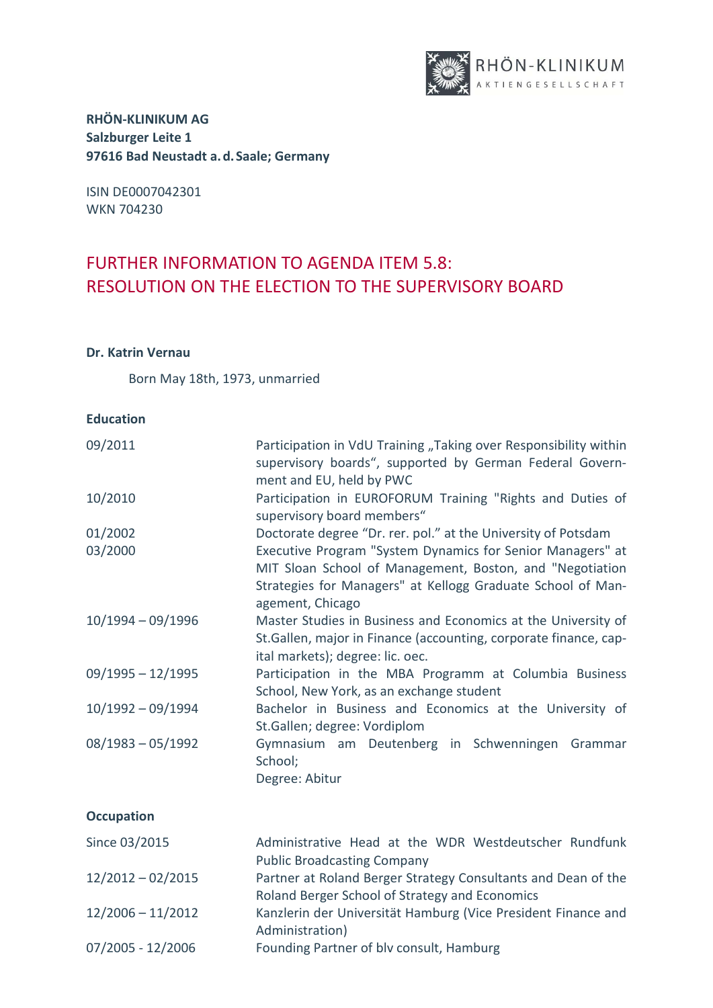

ISIN DE0007042301 WKN 704230

## FURTHER INFORMATION TO AGENDA ITEM 5.8: RESOLUTION ON THE ELECTION TO THE SUPERVISORY BOARD

### **Dr. Katrin Vernau**

Born May 18th, 1973, unmarried

### **Education**

| 09/2011             | Participation in VdU Training "Taking over Responsibility within<br>supervisory boards", supported by German Federal Govern-<br>ment and EU, held by PWC                                                  |
|---------------------|-----------------------------------------------------------------------------------------------------------------------------------------------------------------------------------------------------------|
| 10/2010             | Participation in EUROFORUM Training "Rights and Duties of<br>supervisory board members"                                                                                                                   |
| 01/2002             | Doctorate degree "Dr. rer. pol." at the University of Potsdam                                                                                                                                             |
| 03/2000             | Executive Program "System Dynamics for Senior Managers" at<br>MIT Sloan School of Management, Boston, and "Negotiation<br>Strategies for Managers" at Kellogg Graduate School of Man-<br>agement, Chicago |
| $10/1994 - 09/1996$ | Master Studies in Business and Economics at the University of<br>St.Gallen, major in Finance (accounting, corporate finance, cap-<br>ital markets); degree: lic. oec.                                     |
| $09/1995 - 12/1995$ | Participation in the MBA Programm at Columbia Business<br>School, New York, as an exchange student                                                                                                        |
| $10/1992 - 09/1994$ | Bachelor in Business and Economics at the University of<br>St.Gallen; degree: Vordiplom                                                                                                                   |
| $08/1983 - 05/1992$ | Gymnasium am Deutenberg in Schwenningen Grammar<br>School;<br>Degree: Abitur                                                                                                                              |
| <b>Occupation</b>   |                                                                                                                                                                                                           |
| Since 03/2015       | Administrative Head at the WDR Westdeutscher Rundfunk<br><b>Public Broadcasting Company</b>                                                                                                               |
| $12/2012 - 02/2015$ | Partner at Roland Berger Strategy Consultants and Dean of the                                                                                                                                             |

Roland Berger School of Strategy and Economics

- 12/2006 11/2012 Kanzlerin der Universität Hamburg (Vice President Finance and Administration)
- 07/2005 12/2006 Founding Partner of blv consult, Hamburg